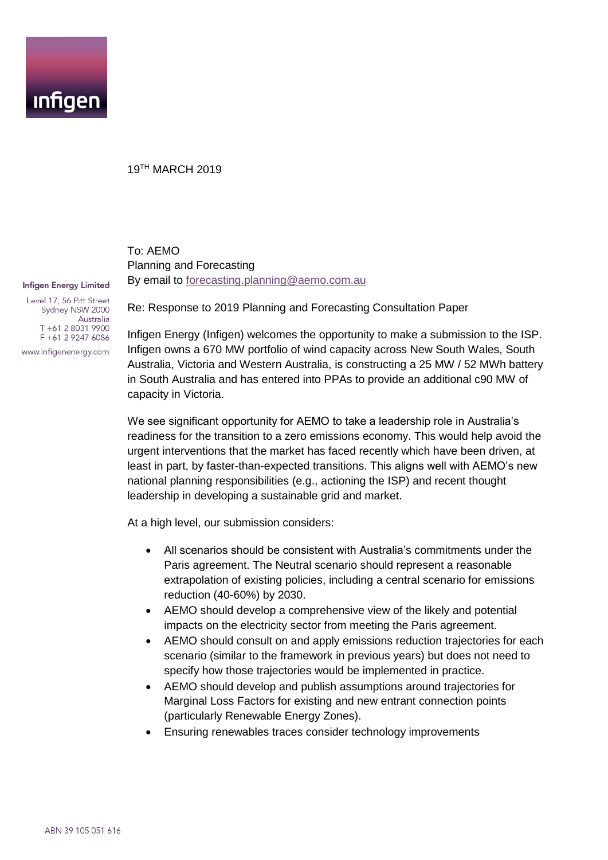

## 19TH MARCH 2019

To: AEMO Planning and Forecasting By email to [forecasting.planning@aemo.com.au](mailto:forecasting.planning@aemo.com.au)

#### **Infigen Energy Limited**

Level 17, 56 Pitt Street Sydney NSW 2000 Australia T +61 2 8031 9900 F +61 2 9247 6086 www.infigenenergy.com

Re: Response to 2019 Planning and Forecasting Consultation Paper

Infigen Energy (Infigen) welcomes the opportunity to make a submission to the ISP. Infigen owns a 670 MW portfolio of wind capacity across New South Wales, South Australia, Victoria and Western Australia, is constructing a 25 MW / 52 MWh battery in South Australia and has entered into PPAs to provide an additional c90 MW of capacity in Victoria.

We see significant opportunity for AEMO to take a leadership role in Australia's readiness for the transition to a zero emissions economy. This would help avoid the urgent interventions that the market has faced recently which have been driven, at least in part, by faster-than-expected transitions. This aligns well with AEMO's new national planning responsibilities (e.g., actioning the ISP) and recent thought leadership in developing a sustainable grid and market.

At a high level, our submission considers:

- All scenarios should be consistent with Australia's commitments under the Paris agreement. The Neutral scenario should represent a reasonable extrapolation of existing policies, including a central scenario for emissions reduction (40-60%) by 2030.
- AEMO should develop a comprehensive view of the likely and potential impacts on the electricity sector from meeting the Paris agreement.
- AEMO should consult on and apply emissions reduction trajectories for each scenario (similar to the framework in previous years) but does not need to specify how those trajectories would be implemented in practice.
- AEMO should develop and publish assumptions around trajectories for Marginal Loss Factors for existing and new entrant connection points (particularly Renewable Energy Zones).
- Ensuring renewables traces consider technology improvements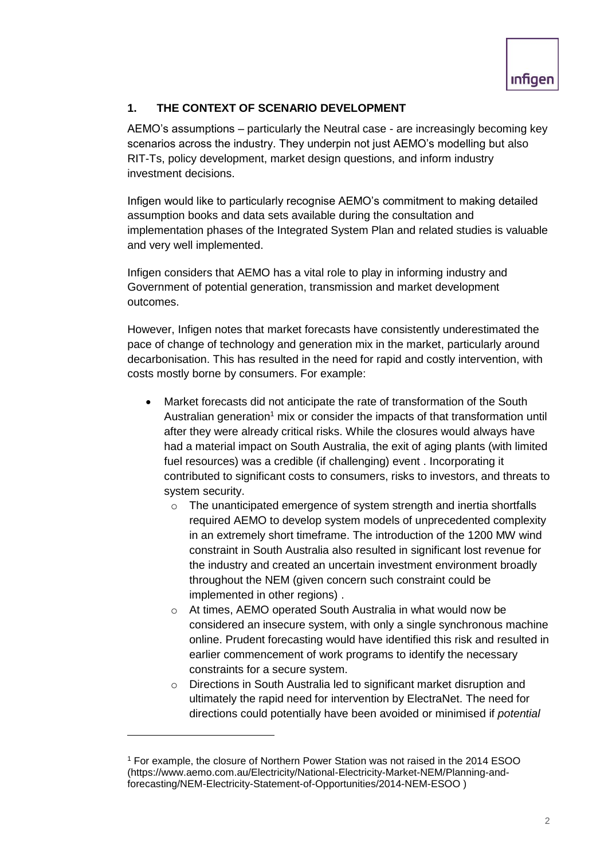## **1. THE CONTEXT OF SCENARIO DEVELOPMENT**

AEMO's assumptions – particularly the Neutral case - are increasingly becoming key scenarios across the industry. They underpin not just AEMO's modelling but also RIT-Ts, policy development, market design questions, and inform industry investment decisions.

Infigen would like to particularly recognise AEMO's commitment to making detailed assumption books and data sets available during the consultation and implementation phases of the Integrated System Plan and related studies is valuable and very well implemented.

Infigen considers that AEMO has a vital role to play in informing industry and Government of potential generation, transmission and market development outcomes.

However, Infigen notes that market forecasts have consistently underestimated the pace of change of technology and generation mix in the market, particularly around decarbonisation. This has resulted in the need for rapid and costly intervention, with costs mostly borne by consumers. For example:

- Market forecasts did not anticipate the rate of transformation of the South Australian generation<sup>1</sup> mix or consider the impacts of that transformation until after they were already critical risks. While the closures would always have had a material impact on South Australia, the exit of aging plants (with limited fuel resources) was a credible (if challenging) event . Incorporating it contributed to significant costs to consumers, risks to investors, and threats to system security.
	- o The unanticipated emergence of system strength and inertia shortfalls required AEMO to develop system models of unprecedented complexity in an extremely short timeframe. The introduction of the 1200 MW wind constraint in South Australia also resulted in significant lost revenue for the industry and created an uncertain investment environment broadly throughout the NEM (given concern such constraint could be implemented in other regions) .
	- o At times, AEMO operated South Australia in what would now be considered an insecure system, with only a single synchronous machine online. Prudent forecasting would have identified this risk and resulted in earlier commencement of work programs to identify the necessary constraints for a secure system.
	- o Directions in South Australia led to significant market disruption and ultimately the rapid need for intervention by ElectraNet. The need for directions could potentially have been avoided or minimised if *potential*

-

<sup>1</sup> For example, the closure of Northern Power Station was not raised in the 2014 ESOO (https://www.aemo.com.au/Electricity/National-Electricity-Market-NEM/Planning-andforecasting/NEM-Electricity-Statement-of-Opportunities/2014-NEM-ESOO )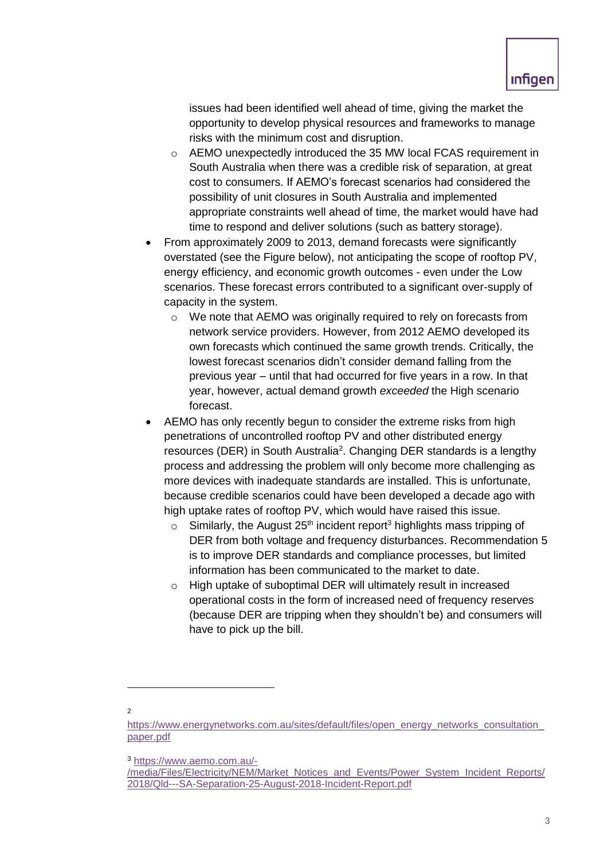issues had been identified well ahead of time, giving the market the opportunity to develop physical resources and frameworks to manage risks with the minimum cost and disruption.

- o AEMO unexpectedly introduced the 35 MW local FCAS requirement in South Australia when there was a credible risk of separation, at great cost to consumers. If AEMO's forecast scenarios had considered the possibility of unit closures in South Australia and implemented appropriate constraints well ahead of time, the market would have had time to respond and deliver solutions (such as battery storage).
- From approximately 2009 to 2013, demand forecasts were significantly overstated (see the Figure below), not anticipating the scope of rooftop PV, energy efficiency, and economic growth outcomes - even under the Low scenarios. These forecast errors contributed to a significant over-supply of capacity in the system.
	- o We note that AEMO was originally required to rely on forecasts from network service providers. However, from 2012 AEMO developed its own forecasts which continued the same growth trends. Critically, the lowest forecast scenarios didn't consider demand falling from the previous year – until that had occurred for five years in a row. In that year, however, actual demand growth *exceeded* the High scenario forecast.
- AEMO has only recently begun to consider the extreme risks from high penetrations of uncontrolled rooftop PV and other distributed energy resources (DER) in South Australia<sup>2</sup>. Changing DER standards is a lengthy process and addressing the problem will only become more challenging as more devices with inadequate standards are installed. This is unfortunate, because credible scenarios could have been developed a decade ago with high uptake rates of rooftop PV, which would have raised this issue.
	- $\circ$  Similarly, the August 25<sup>th</sup> incident report<sup>3</sup> highlights mass tripping of DER from both voltage and frequency disturbances. Recommendation 5 is to improve DER standards and compliance processes, but limited information has been communicated to the market to date.
	- o High uptake of suboptimal DER will ultimately result in increased operational costs in the form of increased need of frequency reserves (because DER are tripping when they shouldn't be) and consumers will have to pick up the bill.

1

<sup>2</sup>

[https://www.energynetworks.com.au/sites/default/files/open\\_energy\\_networks\\_consultation\\_](https://www.energynetworks.com.au/sites/default/files/open_energy_networks_consultation_paper.pdf) [paper.pdf](https://www.energynetworks.com.au/sites/default/files/open_energy_networks_consultation_paper.pdf)

<sup>3</sup> [https://www.aemo.com.au/-](https://www.aemo.com.au/-/media/Files/Electricity/NEM/Market_Notices_and_Events/Power_System_Incident_Reports/2018/Qld---SA-Separation-25-August-2018-Incident-Report.pdf)

[<sup>/</sup>media/Files/Electricity/NEM/Market\\_Notices\\_and\\_Events/Power\\_System\\_Incident\\_Reports/](https://www.aemo.com.au/-/media/Files/Electricity/NEM/Market_Notices_and_Events/Power_System_Incident_Reports/2018/Qld---SA-Separation-25-August-2018-Incident-Report.pdf) [2018/Qld---SA-Separation-25-August-2018-Incident-Report.pdf](https://www.aemo.com.au/-/media/Files/Electricity/NEM/Market_Notices_and_Events/Power_System_Incident_Reports/2018/Qld---SA-Separation-25-August-2018-Incident-Report.pdf)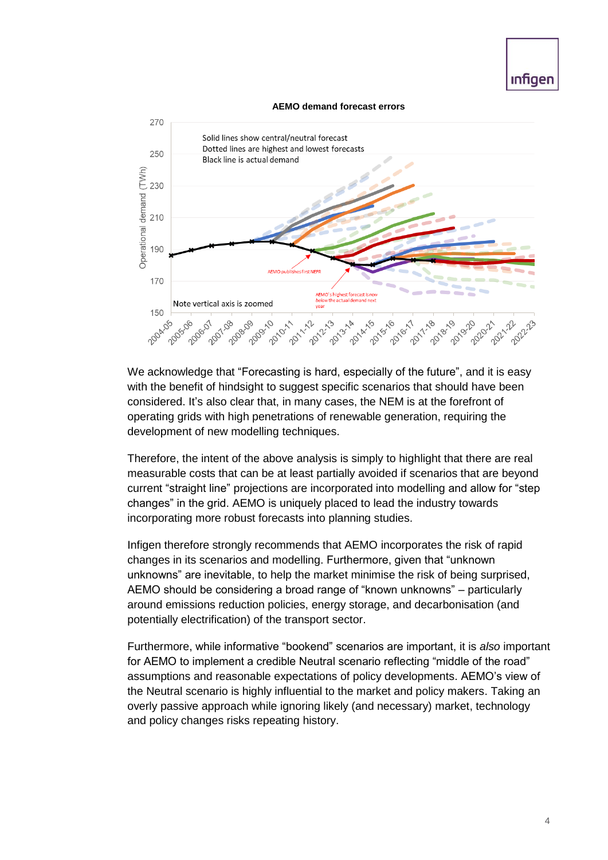# **Infigen**

#### **AEMO demand forecast errors**



We acknowledge that "Forecasting is hard, especially of the future", and it is easy with the benefit of hindsight to suggest specific scenarios that should have been considered. It's also clear that, in many cases, the NEM is at the forefront of operating grids with high penetrations of renewable generation, requiring the development of new modelling techniques.

Therefore, the intent of the above analysis is simply to highlight that there are real measurable costs that can be at least partially avoided if scenarios that are beyond current "straight line" projections are incorporated into modelling and allow for "step changes" in the grid. AEMO is uniquely placed to lead the industry towards incorporating more robust forecasts into planning studies.

Infigen therefore strongly recommends that AEMO incorporates the risk of rapid changes in its scenarios and modelling. Furthermore, given that "unknown unknowns" are inevitable, to help the market minimise the risk of being surprised, AEMO should be considering a broad range of "known unknowns" – particularly around emissions reduction policies, energy storage, and decarbonisation (and potentially electrification) of the transport sector.

Furthermore, while informative "bookend" scenarios are important, it is *also* important for AEMO to implement a credible Neutral scenario reflecting "middle of the road" assumptions and reasonable expectations of policy developments. AEMO's view of the Neutral scenario is highly influential to the market and policy makers. Taking an overly passive approach while ignoring likely (and necessary) market, technology and policy changes risks repeating history.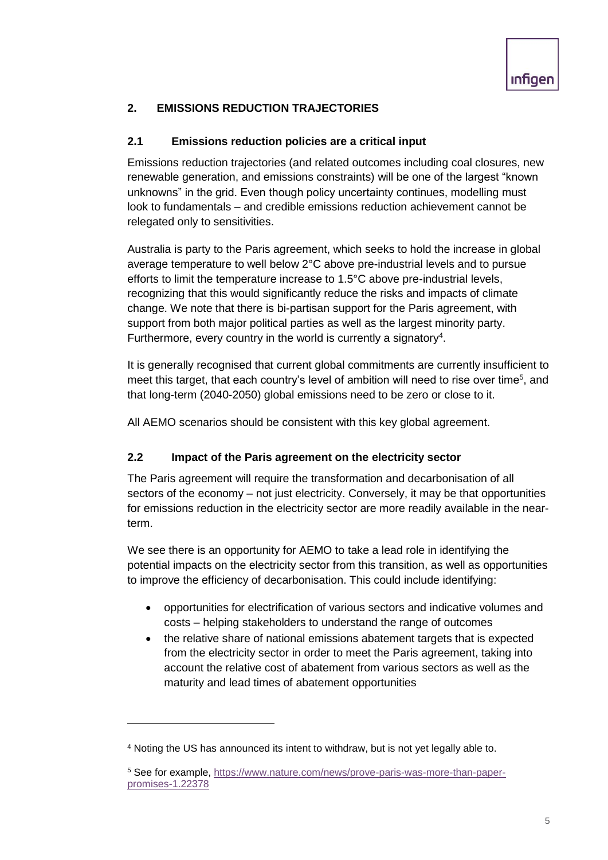## **2. EMISSIONS REDUCTION TRAJECTORIES**

## **2.1 Emissions reduction policies are a critical input**

Emissions reduction trajectories (and related outcomes including coal closures, new renewable generation, and emissions constraints) will be one of the largest "known unknowns" in the grid. Even though policy uncertainty continues, modelling must look to fundamentals – and credible emissions reduction achievement cannot be relegated only to sensitivities.

Australia is party to the Paris agreement, which seeks to hold the increase in global average temperature to well below 2°C above pre-industrial levels and to pursue efforts to limit the temperature increase to 1.5°C above pre-industrial levels, recognizing that this would significantly reduce the risks and impacts of climate change. We note that there is bi-partisan support for the Paris agreement, with support from both major political parties as well as the largest minority party. Furthermore, every country in the world is currently a signatory<sup>4</sup>.

It is generally recognised that current global commitments are currently insufficient to meet this target, that each country's level of ambition will need to rise over time<sup>5</sup>, and that long-term (2040-2050) global emissions need to be zero or close to it.

All AEMO scenarios should be consistent with this key global agreement.

## **2.2 Impact of the Paris agreement on the electricity sector**

The Paris agreement will require the transformation and decarbonisation of all sectors of the economy – not just electricity. Conversely, it may be that opportunities for emissions reduction in the electricity sector are more readily available in the nearterm.

We see there is an opportunity for AEMO to take a lead role in identifying the potential impacts on the electricity sector from this transition, as well as opportunities to improve the efficiency of decarbonisation. This could include identifying:

- opportunities for electrification of various sectors and indicative volumes and costs – helping stakeholders to understand the range of outcomes
- the relative share of national emissions abatement targets that is expected from the electricity sector in order to meet the Paris agreement, taking into account the relative cost of abatement from various sectors as well as the maturity and lead times of abatement opportunities

-

<sup>4</sup> Noting the US has announced its intent to withdraw, but is not yet legally able to.

<sup>5</sup> See for example, [https://www.nature.com/news/prove-paris-was-more-than-paper](https://www.nature.com/news/prove-paris-was-more-than-paper-promises-1.22378)[promises-1.22378](https://www.nature.com/news/prove-paris-was-more-than-paper-promises-1.22378)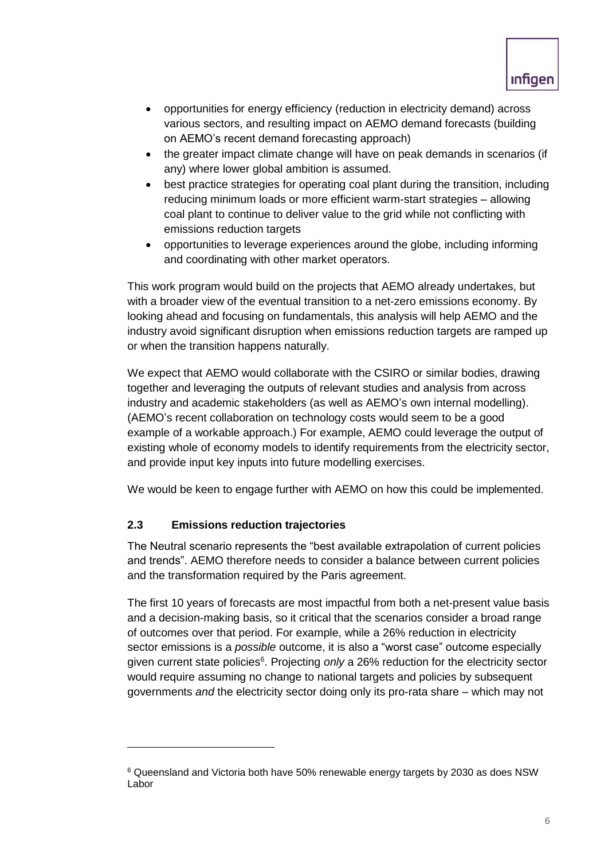

- opportunities for energy efficiency (reduction in electricity demand) across various sectors, and resulting impact on AEMO demand forecasts (building on AEMO's recent demand forecasting approach)
- the greater impact climate change will have on peak demands in scenarios (if any) where lower global ambition is assumed.
- best practice strategies for operating coal plant during the transition, including reducing minimum loads or more efficient warm-start strategies – allowing coal plant to continue to deliver value to the grid while not conflicting with emissions reduction targets
- opportunities to leverage experiences around the globe, including informing and coordinating with other market operators.

This work program would build on the projects that AEMO already undertakes, but with a broader view of the eventual transition to a net-zero emissions economy. By looking ahead and focusing on fundamentals, this analysis will help AEMO and the industry avoid significant disruption when emissions reduction targets are ramped up or when the transition happens naturally.

We expect that AEMO would collaborate with the CSIRO or similar bodies, drawing together and leveraging the outputs of relevant studies and analysis from across industry and academic stakeholders (as well as AEMO's own internal modelling). (AEMO's recent collaboration on technology costs would seem to be a good example of a workable approach.) For example, AEMO could leverage the output of existing whole of economy models to identify requirements from the electricity sector, and provide input key inputs into future modelling exercises.

We would be keen to engage further with AEMO on how this could be implemented.

## **2.3 Emissions reduction trajectories**

-

The Neutral scenario represents the "best available extrapolation of current policies and trends". AEMO therefore needs to consider a balance between current policies and the transformation required by the Paris agreement.

The first 10 years of forecasts are most impactful from both a net-present value basis and a decision-making basis, so it critical that the scenarios consider a broad range of outcomes over that period. For example, while a 26% reduction in electricity sector emissions is a *possible* outcome, it is also a "worst case" outcome especially given current state policies<sup>6</sup>. Projecting *only* a 26% reduction for the electricity sector would require assuming no change to national targets and policies by subsequent governments *and* the electricity sector doing only its pro-rata share – which may not

<sup>6</sup> Queensland and Victoria both have 50% renewable energy targets by 2030 as does NSW Labor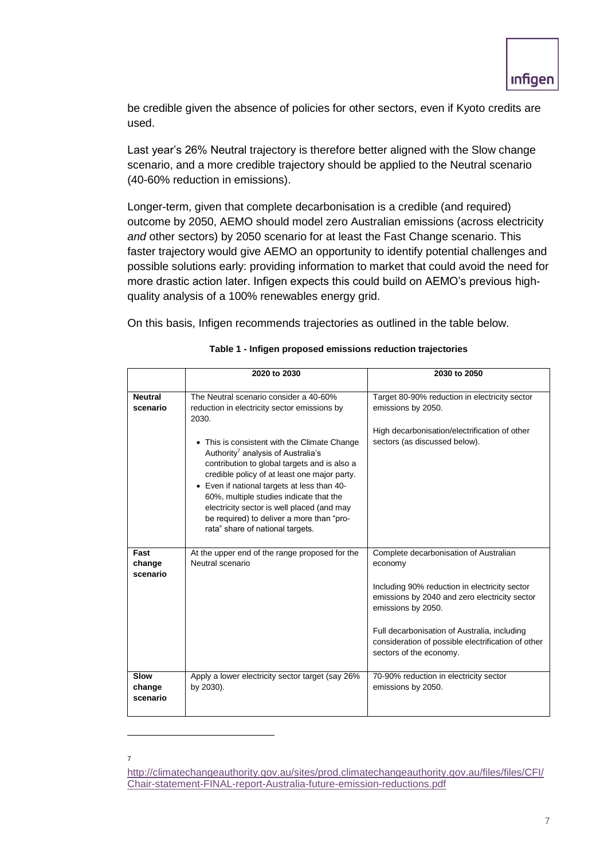be credible given the absence of policies for other sectors, even if Kyoto credits are used.

Last year's 26% Neutral trajectory is therefore better aligned with the Slow change scenario, and a more credible trajectory should be applied to the Neutral scenario (40-60% reduction in emissions).

Longer-term, given that complete decarbonisation is a credible (and required) outcome by 2050, AEMO should model zero Australian emissions (across electricity *and* other sectors) by 2050 scenario for at least the Fast Change scenario. This faster trajectory would give AEMO an opportunity to identify potential challenges and possible solutions early: providing information to market that could avoid the need for more drastic action later. Infigen expects this could build on AEMO's previous highquality analysis of a 100% renewables energy grid.

On this basis, Infigen recommends trajectories as outlined in the table below.

|                            | 2020 to 2030                                                                                                                                                                                                                                                                                                                                                                                                                                                                                                               | 2030 to 2050                                                                                                                                                                                                                                                                                               |
|----------------------------|----------------------------------------------------------------------------------------------------------------------------------------------------------------------------------------------------------------------------------------------------------------------------------------------------------------------------------------------------------------------------------------------------------------------------------------------------------------------------------------------------------------------------|------------------------------------------------------------------------------------------------------------------------------------------------------------------------------------------------------------------------------------------------------------------------------------------------------------|
|                            |                                                                                                                                                                                                                                                                                                                                                                                                                                                                                                                            |                                                                                                                                                                                                                                                                                                            |
| <b>Neutral</b><br>scenario | The Neutral scenario consider a 40-60%<br>reduction in electricity sector emissions by<br>2030.<br>• This is consistent with the Climate Change<br>Authority <sup>7</sup> analysis of Australia's<br>contribution to global targets and is also a<br>credible policy of at least one major party.<br>• Even if national targets at less than 40-<br>60%, multiple studies indicate that the<br>electricity sector is well placed (and may<br>be required) to deliver a more than "pro-<br>rata" share of national targets. | Target 80-90% reduction in electricity sector<br>emissions by 2050.<br>High decarbonisation/electrification of other<br>sectors (as discussed below).                                                                                                                                                      |
| Fast<br>change<br>scenario | At the upper end of the range proposed for the<br>Neutral scenario                                                                                                                                                                                                                                                                                                                                                                                                                                                         | Complete decarbonisation of Australian<br>economy<br>Including 90% reduction in electricity sector<br>emissions by 2040 and zero electricity sector<br>emissions by 2050.<br>Full decarbonisation of Australia, including<br>consideration of possible electrification of other<br>sectors of the economy. |
| Slow<br>change<br>scenario | Apply a lower electricity sector target (say 26%<br>by 2030).                                                                                                                                                                                                                                                                                                                                                                                                                                                              | 70-90% reduction in electricity sector<br>emissions by 2050.                                                                                                                                                                                                                                               |

### **Table 1 - Infigen proposed emissions reduction trajectories**

-

7

[http://climatechangeauthority.gov.au/sites/prod.climatechangeauthority.gov.au/files/files/CFI/](http://climatechangeauthority.gov.au/sites/prod.climatechangeauthority.gov.au/files/files/CFI/Chair-statement-FINAL-report-Australia-future-emission-reductions.pdf) [Chair-statement-FINAL-report-Australia-future-emission-reductions.pdf](http://climatechangeauthority.gov.au/sites/prod.climatechangeauthority.gov.au/files/files/CFI/Chair-statement-FINAL-report-Australia-future-emission-reductions.pdf)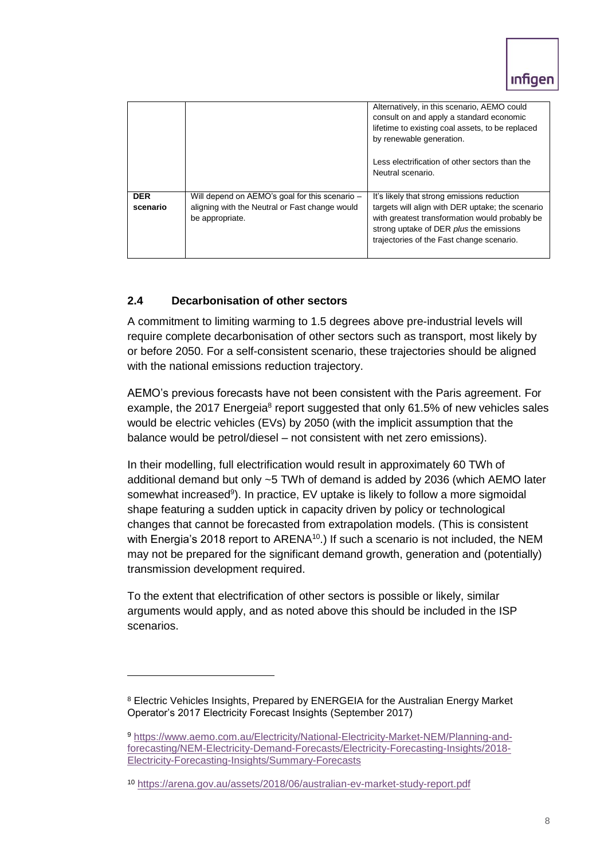|                        |                                                                                                                     | Alternatively, in this scenario, AEMO could<br>consult on and apply a standard economic<br>lifetime to existing coal assets, to be replaced<br>by renewable generation.                                                                   |
|------------------------|---------------------------------------------------------------------------------------------------------------------|-------------------------------------------------------------------------------------------------------------------------------------------------------------------------------------------------------------------------------------------|
|                        |                                                                                                                     | Less electrification of other sectors than the<br>Neutral scenario.                                                                                                                                                                       |
| <b>DER</b><br>scenario | Will depend on AEMO's goal for this scenario -<br>aligning with the Neutral or Fast change would<br>be appropriate. | It's likely that strong emissions reduction<br>targets will align with DER uptake; the scenario<br>with greatest transformation would probably be<br>strong uptake of DER plus the emissions<br>trajectories of the Fast change scenario. |

## **2.4 Decarbonisation of other sectors**

1

A commitment to limiting warming to 1.5 degrees above pre-industrial levels will require complete decarbonisation of other sectors such as transport, most likely by or before 2050. For a self-consistent scenario, these trajectories should be aligned with the national emissions reduction trajectory.

AEMO's previous forecasts have not been consistent with the Paris agreement. For example, the 2017 Energeia<sup>8</sup> report suggested that only 61.5% of new vehicles sales would be electric vehicles (EVs) by 2050 (with the implicit assumption that the balance would be petrol/diesel – not consistent with net zero emissions).

In their modelling, full electrification would result in approximately 60 TWh of additional demand but only ~5 TWh of demand is added by 2036 (which AEMO later somewhat increased<sup>9</sup>). In practice, EV uptake is likely to follow a more sigmoidal shape featuring a sudden uptick in capacity driven by policy or technological changes that cannot be forecasted from extrapolation models. (This is consistent with Energia's 2018 report to ARENA<sup>10</sup>.) If such a scenario is not included, the NEM may not be prepared for the significant demand growth, generation and (potentially) transmission development required.

To the extent that electrification of other sectors is possible or likely, similar arguments would apply, and as noted above this should be included in the ISP scenarios.

<sup>8</sup> Electric Vehicles Insights, Prepared by ENERGEIA for the Australian Energy Market Operator's 2017 Electricity Forecast Insights (September 2017)

<sup>9</sup> [https://www.aemo.com.au/Electricity/National-Electricity-Market-NEM/Planning-and](https://www.aemo.com.au/Electricity/National-Electricity-Market-NEM/Planning-and-forecasting/NEM-Electricity-Demand-Forecasts/Electricity-Forecasting-Insights/2018-Electricity-Forecasting-Insights/Summary-Forecasts)[forecasting/NEM-Electricity-Demand-Forecasts/Electricity-Forecasting-Insights/2018-](https://www.aemo.com.au/Electricity/National-Electricity-Market-NEM/Planning-and-forecasting/NEM-Electricity-Demand-Forecasts/Electricity-Forecasting-Insights/2018-Electricity-Forecasting-Insights/Summary-Forecasts) [Electricity-Forecasting-Insights/Summary-Forecasts](https://www.aemo.com.au/Electricity/National-Electricity-Market-NEM/Planning-and-forecasting/NEM-Electricity-Demand-Forecasts/Electricity-Forecasting-Insights/2018-Electricity-Forecasting-Insights/Summary-Forecasts)

<sup>10</sup> <https://arena.gov.au/assets/2018/06/australian-ev-market-study-report.pdf>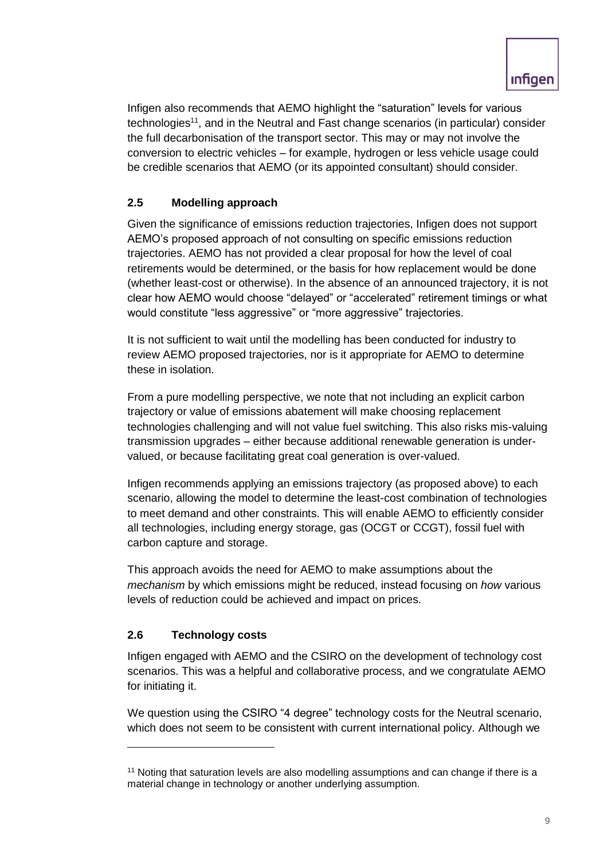Infigen also recommends that AEMO highlight the "saturation" levels for various technologies<sup>11</sup>, and in the Neutral and Fast change scenarios (in particular) consider the full decarbonisation of the transport sector. This may or may not involve the conversion to electric vehicles – for example, hydrogen or less vehicle usage could be credible scenarios that AEMO (or its appointed consultant) should consider.

# **2.5 Modelling approach**

Given the significance of emissions reduction trajectories, Infigen does not support AEMO's proposed approach of not consulting on specific emissions reduction trajectories. AEMO has not provided a clear proposal for how the level of coal retirements would be determined, or the basis for how replacement would be done (whether least-cost or otherwise). In the absence of an announced trajectory, it is not clear how AEMO would choose "delayed" or "accelerated" retirement timings or what would constitute "less aggressive" or "more aggressive" trajectories.

It is not sufficient to wait until the modelling has been conducted for industry to review AEMO proposed trajectories, nor is it appropriate for AEMO to determine these in isolation.

From a pure modelling perspective, we note that not including an explicit carbon trajectory or value of emissions abatement will make choosing replacement technologies challenging and will not value fuel switching. This also risks mis-valuing transmission upgrades – either because additional renewable generation is undervalued, or because facilitating great coal generation is over-valued.

Infigen recommends applying an emissions trajectory (as proposed above) to each scenario, allowing the model to determine the least-cost combination of technologies to meet demand and other constraints. This will enable AEMO to efficiently consider all technologies, including energy storage, gas (OCGT or CCGT), fossil fuel with carbon capture and storage.

This approach avoids the need for AEMO to make assumptions about the *mechanism* by which emissions might be reduced, instead focusing on *how* various levels of reduction could be achieved and impact on prices.

## **2.6 Technology costs**

-

Infigen engaged with AEMO and the CSIRO on the development of technology cost scenarios. This was a helpful and collaborative process, and we congratulate AEMO for initiating it.

We question using the CSIRO "4 degree" technology costs for the Neutral scenario, which does not seem to be consistent with current international policy. Although we

<sup>&</sup>lt;sup>11</sup> Noting that saturation levels are also modelling assumptions and can change if there is a material change in technology or another underlying assumption.